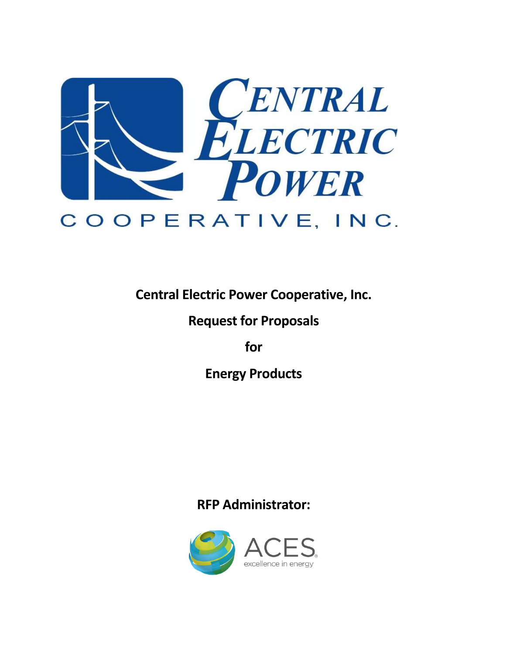

**Central Electric Power Cooperative, Inc.**

# **Request for Proposals**

**for**

**Energy Products**

# **RFP Administrator:**

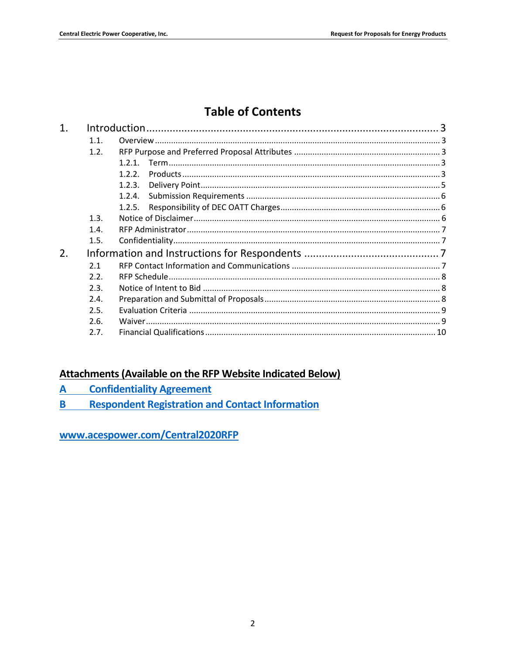# **Table of Contents**

| 1. |                  |        |  |
|----|------------------|--------|--|
|    | 1.1.             |        |  |
|    | 1.2.             |        |  |
|    |                  | 1.2.1. |  |
|    |                  | 1.2.2. |  |
|    |                  | 1.2.3. |  |
|    |                  | 1.2.4. |  |
|    |                  | 1.2.5. |  |
|    | 1.3.             |        |  |
|    | 1.4.             |        |  |
|    | 1.5.             |        |  |
| 2. |                  |        |  |
|    | 2.1              |        |  |
|    | 2.2 <sub>1</sub> |        |  |
|    | 2.3.             |        |  |
|    | 2.4.             |        |  |
|    | 2.5.             |        |  |
|    | 2.6.             |        |  |
|    | 2.7.             |        |  |
|    |                  |        |  |

## **Attachments (Available on the RFP Website Indicated Below)**

- **Confidentiality Agreement** A
- **Respondent Registration and Contact Information** B<sub>1</sub>

www.acespower.com/Central2020RFP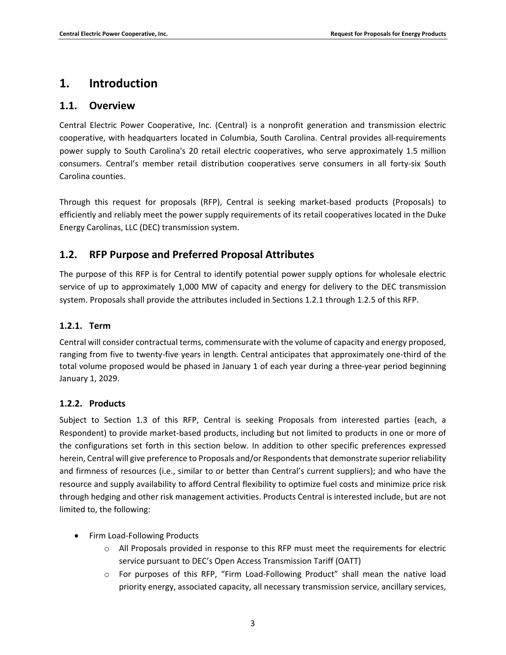## <span id="page-2-0"></span>**1. Introduction**

#### <span id="page-2-1"></span>**1.1. Overview**

Central Electric Power Cooperative, Inc. (Central) is a nonprofit generation and transmission electric cooperative, with headquarters located in Columbia, South Carolina. Central provides all-requirements power supply to South Carolina's 20 retail electric cooperatives, who serve approximately 1.5 million consumers. Central's member retail distribution cooperatives serve consumers in all forty-six South Carolina counties.

Through this request for proposals (RFP), Central is seeking market-based products (Proposals) to efficiently and reliably meet the power supply requirements of its retail cooperatives located in the Duke Energy Carolinas, LLC (DEC) transmission system.

## <span id="page-2-2"></span>**1.2. RFP Purpose and Preferred Proposal Attributes**

The purpose of this RFP is for Central to identify potential power supply options for wholesale electric service of up to approximately 1,000 MW of capacity and energy for delivery to the DEC transmission system. Proposals shall provide the attributes included in Sections 1.2.1 through 1.2.5 of this RFP.

#### <span id="page-2-3"></span>**1.2.1. Term**

Central will consider contractual terms, commensurate with the volume of capacity and energy proposed, ranging from five to twenty-five years in length. Central anticipates that approximately one-third of the total volume proposed would be phased in January 1 of each year during a three-year period beginning January 1, 2029.

#### <span id="page-2-4"></span>**1.2.2. Products**

Subject to Section 1.3 of this RFP, Central is seeking Proposals from interested parties (each, a Respondent) to provide market-based products, including but not limited to products in one or more of the configurations set forth in this section below. In addition to other specific preferences expressed herein, Central will give preference to Proposals and/or Respondents that demonstrate superior reliability and firmness of resources (i.e., similar to or better than Central's current suppliers); and who have the resource and supply availability to afford Central flexibility to optimize fuel costs and minimize price risk through hedging and other risk management activities. Products Central is interested include, but are not limited to, the following:

- Firm Load-Following Products
	- o All Proposals provided in response to this RFP must meet the requirements for electric service pursuant to DEC's Open Access Transmission Tariff (OATT)
	- $\circ$  For purposes of this RFP, "Firm Load-Following Product" shall mean the native load priority energy, associated capacity, all necessary transmission service, ancillary services,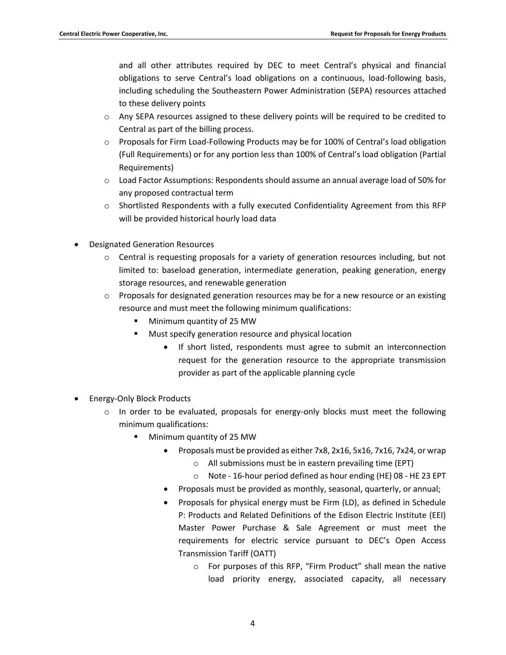and all other attributes required by DEC to meet Central's physical and financial obligations to serve Central's load obligations on a continuous, load-following basis, including scheduling the Southeastern Power Administration (SEPA) resources attached to these delivery points

- o Any SEPA resources assigned to these delivery points will be required to be credited to Central as part of the billing process.
- o Proposals for Firm Load-Following Products may be for 100% of Central's load obligation (Full Requirements) or for any portion less than 100% of Central's load obligation (Partial Requirements)
- o Load Factor Assumptions: Respondents should assume an annual average load of 50% for any proposed contractual term
- o Shortlisted Respondents with a fully executed Confidentiality Agreement from this RFP will be provided historical hourly load data
- Designated Generation Resources
	- $\circ$  Central is requesting proposals for a variety of generation resources including, but not limited to: baseload generation, intermediate generation, peaking generation, energy storage resources, and renewable generation
	- $\circ$  Proposals for designated generation resources may be for a new resource or an existing resource and must meet the following minimum qualifications:
		- Minimum quantity of 25 MW
		- Must specify generation resource and physical location
			- If short listed, respondents must agree to submit an interconnection request for the generation resource to the appropriate transmission provider as part of the applicable planning cycle
- Energy-Only Block Products
	- $\circ$  In order to be evaluated, proposals for energy-only blocks must meet the following minimum qualifications:
		- Minimum quantity of 25 MW
			- Proposals must be provided as either 7x8, 2x16, 5x16, 7x16, 7x24, or wrap
				- o All submissions must be in eastern prevailing time (EPT)
				- o Note 16-hour period defined as hour ending (HE) 08 HE 23 EPT
			- Proposals must be provided as monthly, seasonal, quarterly, or annual;
			- Proposals for physical energy must be Firm (LD), as defined in Schedule P: Products and Related Definitions of the Edison Electric Institute (EEI) Master Power Purchase & Sale Agreement or must meet the requirements for electric service pursuant to DEC's Open Access Transmission Tariff (OATT)
				- o For purposes of this RFP, "Firm Product" shall mean the native load priority energy, associated capacity, all necessary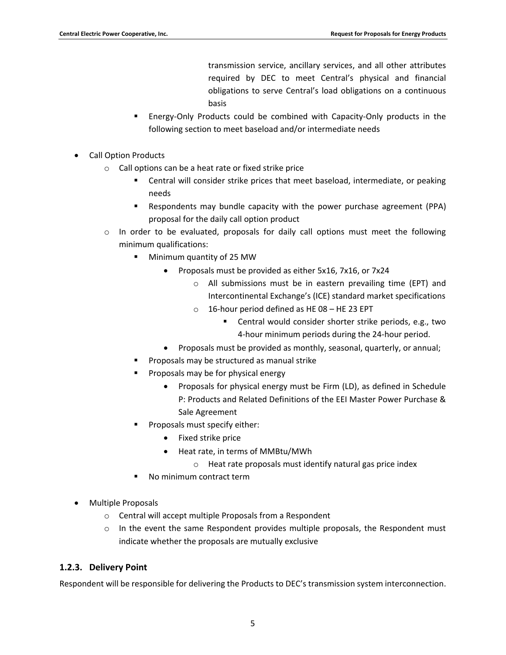transmission service, ancillary services, and all other attributes required by DEC to meet Central's physical and financial obligations to serve Central's load obligations on a continuous basis

- Energy-Only Products could be combined with Capacity-Only products in the following section to meet baseload and/or intermediate needs
- Call Option Products
	- o Call options can be a heat rate or fixed strike price
		- Central will consider strike prices that meet baseload, intermediate, or peaking needs
		- Respondents may bundle capacity with the power purchase agreement (PPA) proposal for the daily call option product
	- $\circ$  In order to be evaluated, proposals for daily call options must meet the following minimum qualifications:
		- Minimum quantity of 25 MW
			- Proposals must be provided as either 5x16, 7x16, or 7x24
				- o All submissions must be in eastern prevailing time (EPT) and Intercontinental Exchange's (ICE) standard market specifications
				- o 16-hour period defined as HE 08 HE 23 EPT
					- **EXEC** Central would consider shorter strike periods, e.g., two 4-hour minimum periods during the 24-hour period.
			- Proposals must be provided as monthly, seasonal, quarterly, or annual;
		- Proposals may be structured as manual strike
		- Proposals may be for physical energy
			- Proposals for physical energy must be Firm (LD), as defined in Schedule P: Products and Related Definitions of the EEI Master Power Purchase & Sale Agreement
		- Proposals must specify either:
			- Fixed strike price
			- Heat rate, in terms of MMBtu/MWh
				- o Heat rate proposals must identify natural gas price index
		- No minimum contract term
- Multiple Proposals
	- o Central will accept multiple Proposals from a Respondent
	- $\circ$  In the event the same Respondent provides multiple proposals, the Respondent must indicate whether the proposals are mutually exclusive

#### <span id="page-4-0"></span>**1.2.3. Delivery Point**

Respondent will be responsible for delivering the Products to DEC's transmission system interconnection.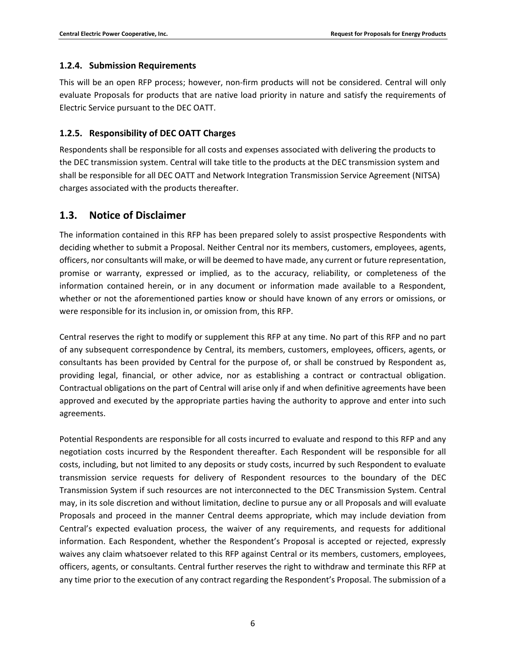#### <span id="page-5-0"></span>**1.2.4. Submission Requirements**

This will be an open RFP process; however, non-firm products will not be considered. Central will only evaluate Proposals for products that are native load priority in nature and satisfy the requirements of Electric Service pursuant to the DEC OATT.

#### <span id="page-5-1"></span>**1.2.5. Responsibility of DEC OATT Charges**

Respondents shall be responsible for all costs and expenses associated with delivering the products to the DEC transmission system. Central will take title to the products at the DEC transmission system and shall be responsible for all DEC OATT and Network Integration Transmission Service Agreement (NITSA) charges associated with the products thereafter.

#### <span id="page-5-2"></span>**1.3. Notice of Disclaimer**

The information contained in this RFP has been prepared solely to assist prospective Respondents with deciding whether to submit a Proposal. Neither Central nor its members, customers, employees, agents, officers, nor consultants will make, or will be deemed to have made, any current or future representation, promise or warranty, expressed or implied, as to the accuracy, reliability, or completeness of the information contained herein, or in any document or information made available to a Respondent, whether or not the aforementioned parties know or should have known of any errors or omissions, or were responsible for its inclusion in, or omission from, this RFP.

Central reserves the right to modify or supplement this RFP at any time. No part of this RFP and no part of any subsequent correspondence by Central, its members, customers, employees, officers, agents, or consultants has been provided by Central for the purpose of, or shall be construed by Respondent as, providing legal, financial, or other advice, nor as establishing a contract or contractual obligation. Contractual obligations on the part of Central will arise only if and when definitive agreements have been approved and executed by the appropriate parties having the authority to approve and enter into such agreements.

Potential Respondents are responsible for all costs incurred to evaluate and respond to this RFP and any negotiation costs incurred by the Respondent thereafter. Each Respondent will be responsible for all costs, including, but not limited to any deposits or study costs, incurred by such Respondent to evaluate transmission service requests for delivery of Respondent resources to the boundary of the DEC Transmission System if such resources are not interconnected to the DEC Transmission System. Central may, in its sole discretion and without limitation, decline to pursue any or all Proposals and will evaluate Proposals and proceed in the manner Central deems appropriate, which may include deviation from Central's expected evaluation process, the waiver of any requirements, and requests for additional information. Each Respondent, whether the Respondent's Proposal is accepted or rejected, expressly waives any claim whatsoever related to this RFP against Central or its members, customers, employees, officers, agents, or consultants. Central further reserves the right to withdraw and terminate this RFP at any time prior to the execution of any contract regarding the Respondent's Proposal. The submission of a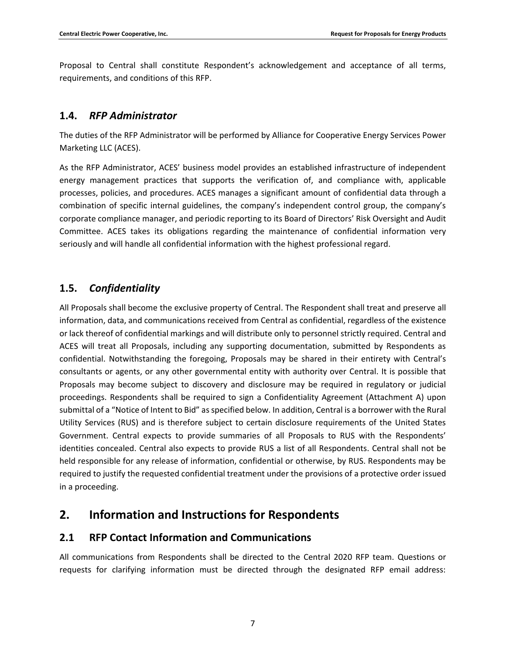Proposal to Central shall constitute Respondent's acknowledgement and acceptance of all terms, requirements, and conditions of this RFP.

#### <span id="page-6-0"></span>**1.4.** *RFP Administrator*

The duties of the RFP Administrator will be performed by Alliance for Cooperative Energy Services Power Marketing LLC (ACES).

As the RFP Administrator, ACES' business model provides an established infrastructure of independent energy management practices that supports the verification of, and compliance with, applicable processes, policies, and procedures. ACES manages a significant amount of confidential data through a combination of specific internal guidelines, the company's independent control group, the company's corporate compliance manager, and periodic reporting to its Board of Directors' Risk Oversight and Audit Committee. ACES takes its obligations regarding the maintenance of confidential information very seriously and will handle all confidential information with the highest professional regard.

## <span id="page-6-1"></span>**1.5.** *Confidentiality*

All Proposals shall become the exclusive property of Central. The Respondent shall treat and preserve all information, data, and communications received from Central as confidential, regardless of the existence or lack thereof of confidential markings and will distribute only to personnel strictly required. Central and ACES will treat all Proposals, including any supporting documentation, submitted by Respondents as confidential. Notwithstanding the foregoing, Proposals may be shared in their entirety with Central's consultants or agents, or any other governmental entity with authority over Central. It is possible that Proposals may become subject to discovery and disclosure may be required in regulatory or judicial proceedings. Respondents shall be required to sign a Confidentiality Agreement (Attachment A) upon submittal of a "Notice of Intent to Bid" as specified below. In addition, Central is a borrower with the Rural Utility Services (RUS) and is therefore subject to certain disclosure requirements of the United States Government. Central expects to provide summaries of all Proposals to RUS with the Respondents' identities concealed. Central also expects to provide RUS a list of all Respondents. Central shall not be held responsible for any release of information, confidential or otherwise, by RUS. Respondents may be required to justify the requested confidential treatment under the provisions of a protective order issued in a proceeding.

# <span id="page-6-2"></span>**2. Information and Instructions for Respondents**

### <span id="page-6-3"></span>**2.1 RFP Contact Information and Communications**

All communications from Respondents shall be directed to the Central 2020 RFP team. Questions or requests for clarifying information must be directed through the designated RFP email address: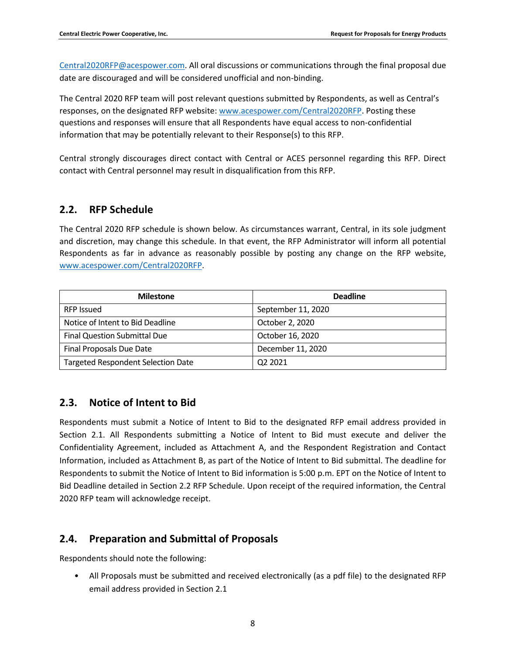[Central2020RFP@acespower.com.](mailto:Central2020RFP@acespower.com) All oral discussions or communications through the final proposal due date are discouraged and will be considered unofficial and non-binding.

The Central 2020 RFP team will post relevant questions submitted by Respondents, as well as Central's responses, on the designated RFP website: [www.acespower.com/Central2020RFP](http://www.acespower.com/Central2020RF). Posting these questions and responses will ensure that all Respondents have equal access to non-confidential information that may be potentially relevant to their Response(s) to this RFP.

Central strongly discourages direct contact with Central or ACES personnel regarding this RFP. Direct contact with Central personnel may result in disqualification from this RFP.

### <span id="page-7-0"></span>**2.2. RFP Schedule**

The Central 2020 RFP schedule is shown below. As circumstances warrant, Central, in its sole judgment and discretion, may change this schedule. In that event, the RFP Administrator will inform all potential Respondents as far in advance as reasonably possible by posting any change on the RFP website, [www.acespower.com/Central2020RFP](http://www.acespower.com/Central2020RF).

| <b>Milestone</b>                          | <b>Deadline</b>    |
|-------------------------------------------|--------------------|
| <b>RFP Issued</b>                         | September 11, 2020 |
| Notice of Intent to Bid Deadline          | October 2, 2020    |
| <b>Final Question Submittal Due</b>       | October 16, 2020   |
| Final Proposals Due Date                  | December 11, 2020  |
| <b>Targeted Respondent Selection Date</b> | Q2 2021            |

### <span id="page-7-1"></span>**2.3. Notice of Intent to Bid**

Respondents must submit a Notice of Intent to Bid to the designated RFP email address provided in Section 2.1. All Respondents submitting a Notice of Intent to Bid must execute and deliver the Confidentiality Agreement, included as Attachment A, and the Respondent Registration and Contact Information, included as Attachment B, as part of the Notice of Intent to Bid submittal. The deadline for Respondents to submit the Notice of Intent to Bid information is 5:00 p.m. EPT on the Notice of Intent to Bid Deadline detailed in Section 2.2 RFP Schedule. Upon receipt of the required information, the Central 2020 RFP team will acknowledge receipt.

### <span id="page-7-2"></span>**2.4. Preparation and Submittal of Proposals**

Respondents should note the following:

• All Proposals must be submitted and received electronically (as a pdf file) to the designated RFP email address provided in Section 2.1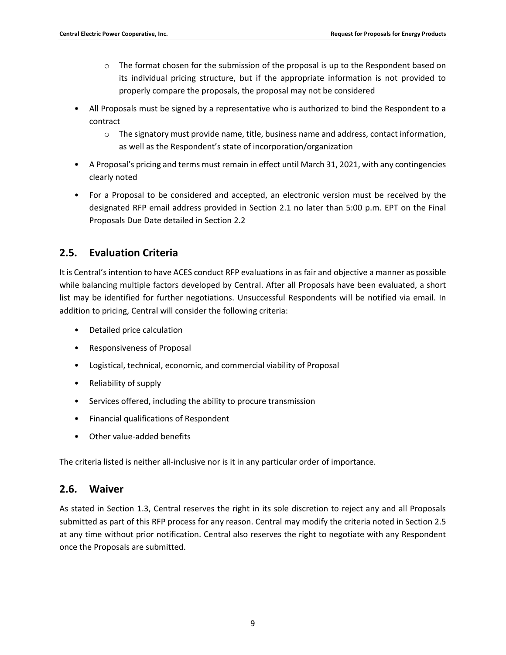- $\circ$  The format chosen for the submission of the proposal is up to the Respondent based on its individual pricing structure, but if the appropriate information is not provided to properly compare the proposals, the proposal may not be considered
- All Proposals must be signed by a representative who is authorized to bind the Respondent to a contract
	- o The signatory must provide name, title, business name and address, contact information, as well as the Respondent's state of incorporation/organization
- A Proposal's pricing and terms must remain in effect until March 31, 2021, with any contingencies clearly noted
- For a Proposal to be considered and accepted, an electronic version must be received by the designated RFP email address provided in Section 2.1 no later than 5:00 p.m. EPT on the Final Proposals Due Date detailed in Section 2.2

## <span id="page-8-0"></span>**2.5. Evaluation Criteria**

It is Central's intention to have ACES conduct RFP evaluations in as fair and objective a manner as possible while balancing multiple factors developed by Central. After all Proposals have been evaluated, a short list may be identified for further negotiations. Unsuccessful Respondents will be notified via email. In addition to pricing, Central will consider the following criteria:

- Detailed price calculation
- Responsiveness of Proposal
- Logistical, technical, economic, and commercial viability of Proposal
- Reliability of supply
- Services offered, including the ability to procure transmission
- Financial qualifications of Respondent
- Other value-added benefits

The criteria listed is neither all-inclusive nor is it in any particular order of importance.

### <span id="page-8-1"></span>**2.6. Waiver**

As stated in Section 1.3, Central reserves the right in its sole discretion to reject any and all Proposals submitted as part of this RFP process for any reason. Central may modify the criteria noted in Section 2.5 at any time without prior notification. Central also reserves the right to negotiate with any Respondent once the Proposals are submitted.